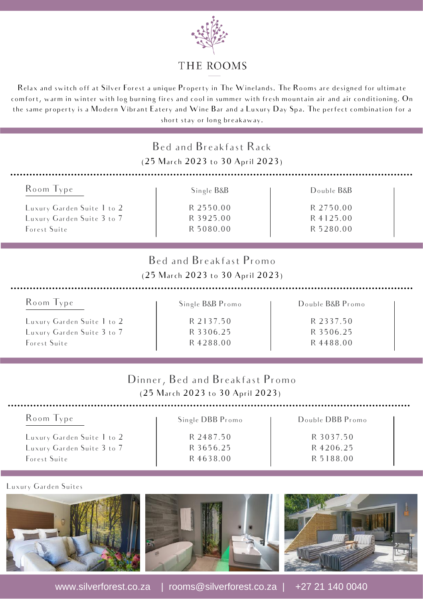

## THE ROOMS

Relax and switch off at Silver Forest a unique Property in The Winelands. The Rooms are designed for ultimate comfort, warm in winter with log burning fires and cool in summer with fresh mountain air and air conditioning. On the same property is a Modern Vibrant Eatery and Wine Bar and a Luxury Day Spa. The perfect combination for a short stay or long breakaway.

|                            | Bed and Breakfast Rack<br>(25 March 2023 to 30 April 2023)          |                  |  |
|----------------------------|---------------------------------------------------------------------|------------------|--|
| Room Type                  | Single B&B                                                          | Double B&B       |  |
| Luxury Garden Suite 1 to 2 | R 2550.00                                                           | R 2750.00        |  |
| Luxury Garden Suite 3 to 7 | R 3925.00                                                           | R 4125.00        |  |
| Forest Suite               | R 5080.00                                                           | R 5280.00        |  |
|                            | Bed and Breakfast Promo<br>(25 March 2023 to 30 April 2023)         |                  |  |
| Room Type                  | Single B&B Promo                                                    | Double B&B Promo |  |
| Luxury Garden Suite 1 to 2 | R 2137.50                                                           | R 2337.50        |  |
| Luxury Garden Suite 3 to 7 | R 3306.25                                                           | R 3506.25        |  |
| Forest Suite               | R4288.00                                                            | R 4488.00        |  |
|                            | Dinner, Bed and Breakfast Promo<br>(25 March 2023 to 30 April 2023) |                  |  |
| Room Type                  | Single DBB Promo                                                    | Double DBB Promo |  |
| Luxury Garden Suite 1 to 2 | R 2487.50                                                           | R 3037.50        |  |
| Luxury Garden Suite 3 to 7 | R 3656.25                                                           | R4206.25         |  |
| Forest Suite               | R 4638.00                                                           | R 5188.00        |  |

### Luxury Garden Suites





www.silverforest.co.za | rooms@silverforest.co.za | +27 21 140 0040